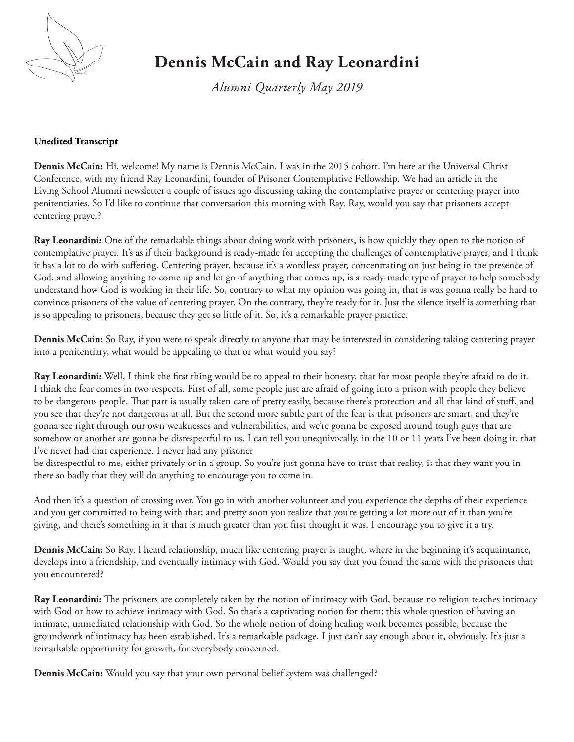

## **Dennis McCain and Ray Leonardini**

*Alumni Quarterly May 2019*

## **Unedited Transcript**

**Dennis McCain:** Hi, welcome! My name is Dennis McCain. I was in the 2015 cohort. I'm here at the Universal Christ Conference, with my friend Ray Leonardini, founder of Prisoner Contemplative Fellowship. We had an article in the Living School Alumni newsletter a couple of issues ago discussing taking the contemplative prayer or centering prayer into penitentiaries. So I'd like to continue that conversation this morning with Ray. Ray, would you say that prisoners accept centering prayer?

**Ray Leonardini:** One of the remarkable things about doing work with prisoners, is how quickly they open to the notion of contemplative prayer. It's as if their background is ready-made for accepting the challenges of contemplative prayer, and I think it has a lot to do with suffering. Centering prayer, because it's a wordless prayer, concentrating on just being in the presence of God, and allowing anything to come up and let go of anything that comes up, is a ready-made type of prayer to help somebody understand how God is working in their life. So, contrary to what my opinion was going in, that is was gonna really be hard to convince prisoners of the value of centering prayer. On the contrary, they're ready for it. Just the silence itself is something that is so appealing to prisoners, because they get so little of it. So, it's a remarkable prayer practice.

**Dennis McCain:** So Ray, if you were to speak directly to anyone that may be interested in considering taking centering prayer into a penitentiary, what would be appealing to that or what would you say?

**Ray Leonardini:** Well, I think the first thing would be to appeal to their honesty, that for most people they're afraid to do it. I think the fear comes in two respects. First of all, some people just are afraid of going into a prison with people they believe to be dangerous people. That part is usually taken care of pretty easily, because there's protection and all that kind of stuff, and you see that they're not dangerous at all. But the second more subtle part of the fear is that prisoners are smart, and they're gonna see right through our own weaknesses and vulnerabilities, and we're gonna be exposed around tough guys that are somehow or another are gonna be disrespectful to us. I can tell you unequivocally, in the 10 or 11 years I've been doing it, that I've never had that experience. I never had any prisoner

be disrespectful to me, either privately or in a group. So you're just gonna have to trust that reality, is that they want you in there so badly that they will do anything to encourage you to come in.

And then it's a question of crossing over. You go in with another volunteer and you experience the depths of their experience and you get committed to being with that; and pretty soon you realize that you're getting a lot more out of it than you're giving, and there's something in it that is much greater than you first thought it was. I encourage you to give it a try.

**Dennis McCain:** So Ray, I heard relationship, much like centering prayer is taught, where in the beginning it's acquaintance, develops into a friendship, and eventually intimacy with God. Would you say that you found the same with the prisoners that you encountered?

**Ray Leonardini:** The prisoners are completely taken by the notion of intimacy with God, because no religion teaches intimacy with God or how to achieve intimacy with God. So that's a captivating notion for them; this whole question of having an intimate, unmediated relationship with God. So the whole notion of doing healing work becomes possible, because the groundwork of intimacy has been established. It's a remarkable package. I just can't say enough about it, obviously. It's just a remarkable opportunity for growth, for everybody concerned.

**Dennis McCain:** Would you say that your own personal belief system was challenged?